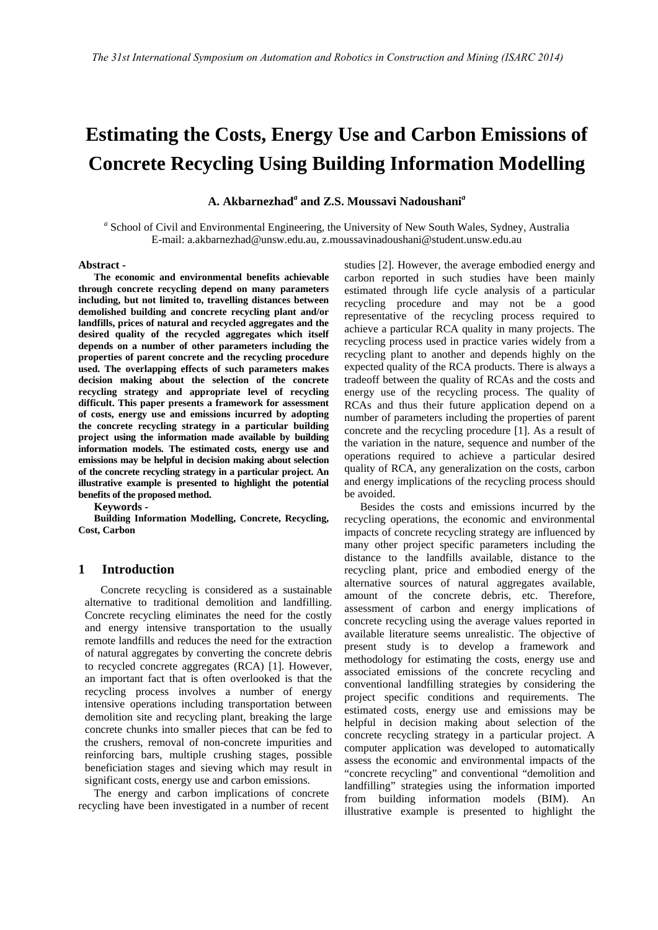# **Estimating the Costs, Energy Use and Carbon Emissions of Concrete Recycling Using Building Information Modelling**

**A. Akbarnezhad***<sup>a</sup>* **and Z.S. Moussavi Nadoushani***<sup>a</sup>*

<sup>a</sup> School of Civil and Environmental Engineering, the University of New South Wales, Sydney, Australia E-mail: a.akbarnezhad@unsw.edu.au, z.moussavinadoushani@student.unsw.edu.au

#### **Abstract -**

**The economic and environmental benefits achievable through concrete recycling depend on many parameters including, but not limited to, travelling distances between demolished building and concrete recycling plant and/or landfills, prices of natural and recycled aggregates and the desired quality of the recycled aggregates which itself depends on a number of other parameters including the properties of parent concrete and the recycling procedure used. The overlapping effects of such parameters makes decision making about the selection of the concrete recycling strategy and appropriate level of recycling difficult. This paper presents a framework for assessment of costs, energy use and emissions incurred by adopting the concrete recycling strategy in a particular building project using the information made available by building information models. The estimated costs, energy use and emissions may be helpful in decision making about selection of the concrete recycling strategy in a particular project. An illustrative example is presented to highlight the potential benefits of the proposed method.**

**Keywords -** 

**Building Information Modelling, Concrete, Recycling, Cost, Carbon** 

### **1 Introduction**

Concrete recycling is considered as a sustainable alternative to traditional demolition and landfilling. Concrete recycling eliminates the need for the costly and energy intensive transportation to the usually remote landfills and reduces the need for the extraction of natural aggregates by converting the concrete debris to recycled concrete aggregates (RCA) [1]. However, an important fact that is often overlooked is that the recycling process involves a number of energy intensive operations including transportation between demolition site and recycling plant, breaking the large concrete chunks into smaller pieces that can be fed to the crushers, removal of non-concrete impurities and reinforcing bars, multiple crushing stages, possible beneficiation stages and sieving which may result in significant costs, energy use and carbon emissions.

The energy and carbon implications of concrete recycling have been investigated in a number of recent studies [2]. However, the average embodied energy and carbon reported in such studies have been mainly estimated through life cycle analysis of a particular recycling procedure and may not be a good representative of the recycling process required to achieve a particular RCA quality in many projects. The recycling process used in practice varies widely from a recycling plant to another and depends highly on the expected quality of the RCA products. There is always a tradeoff between the quality of RCAs and the costs and energy use of the recycling process. The quality of RCAs and thus their future application depend on a number of parameters including the properties of parent concrete and the recycling procedure [1]. As a result of the variation in the nature, sequence and number of the operations required to achieve a particular desired quality of RCA, any generalization on the costs, carbon and energy implications of the recycling process should be avoided.

Besides the costs and emissions incurred by the recycling operations, the economic and environmental impacts of concrete recycling strategy are influenced by many other project specific parameters including the distance to the landfills available, distance to the recycling plant, price and embodied energy of the alternative sources of natural aggregates available, amount of the concrete debris, etc. Therefore, assessment of carbon and energy implications of concrete recycling using the average values reported in available literature seems unrealistic. The objective of present study is to develop a framework and methodology for estimating the costs, energy use and associated emissions of the concrete recycling and conventional landfilling strategies by considering the project specific conditions and requirements. The estimated costs, energy use and emissions may be helpful in decision making about selection of the concrete recycling strategy in a particular project. A computer application was developed to automatically assess the economic and environmental impacts of the "concrete recycling" and conventional "demolition and landfilling" strategies using the information imported from building information models (BIM). An illustrative example is presented to highlight the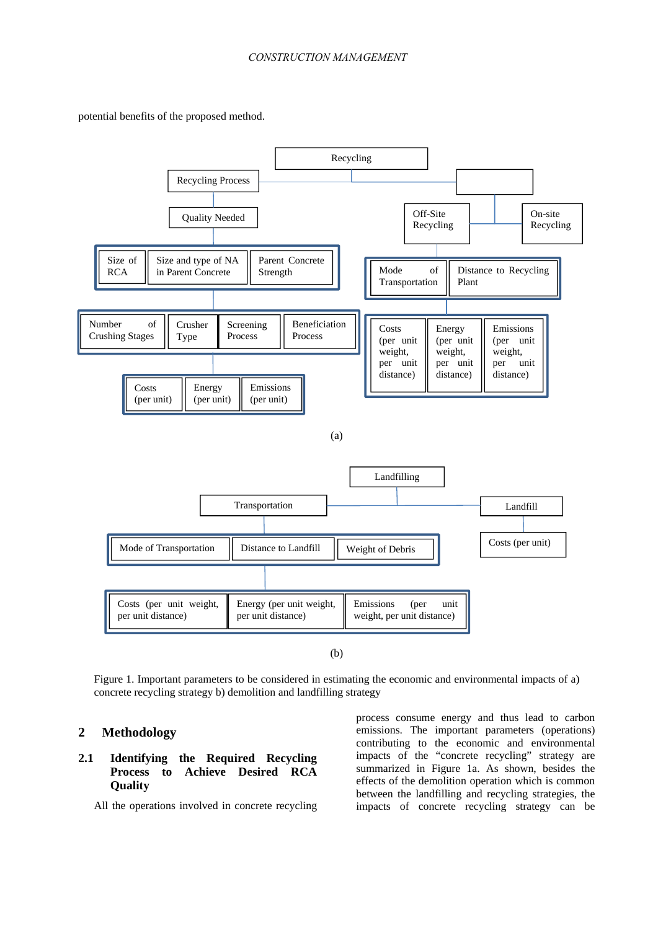potential benefits of the proposed method.



Figure 1. Important parameters to be considered in estimating the economic and environmental impacts of a) concrete recycling strategy b) demolition and landfilling strategy

# **2 Methodology**

# **2.1 Identifying the Required Recycling Process to Achieve Desired RCA Quality**

All the operations involved in concrete recycling

process consume energy and thus lead to carbon emissions. The important parameters (operations) contributing to the economic and environmental impacts of the "concrete recycling" strategy are summarized in Figure 1a. As shown, besides the effects of the demolition operation which is common between the landfilling and recycling strategies, the impacts of concrete recycling strategy can be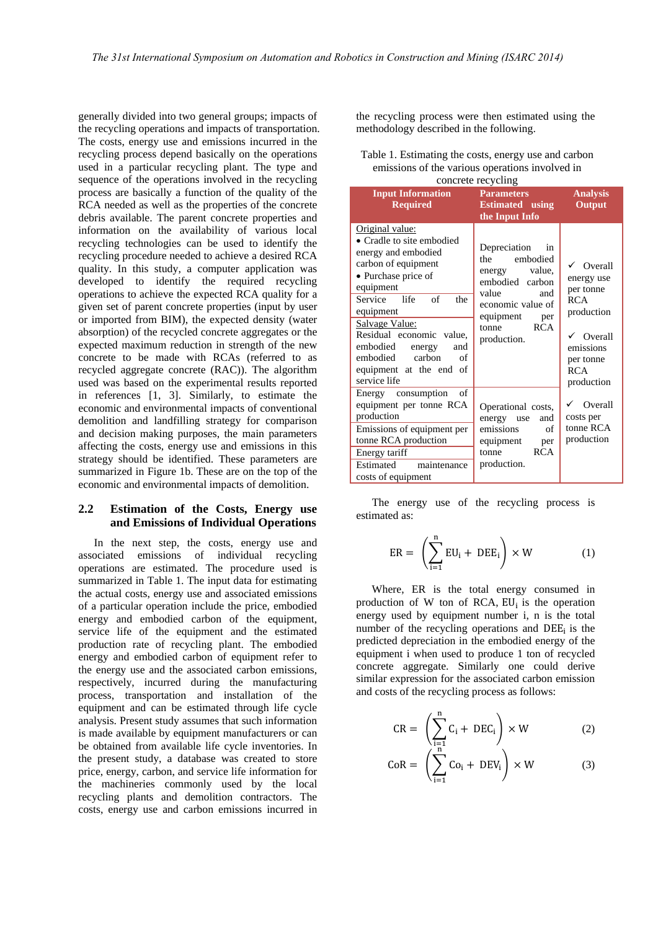generally divided into two general groups; impacts of the recycling operations and impacts of transportation. The costs, energy use and emissions incurred in the recycling process depend basically on the operations used in a particular recycling plant. The type and sequence of the operations involved in the recycling process are basically a function of the quality of the RCA needed as well as the properties of the concrete debris available. The parent concrete properties and information on the availability of various local recycling technologies can be used to identify the recycling procedure needed to achieve a desired RCA quality. In this study, a computer application was developed to identify the required recycling operations to achieve the expected RCA quality for a given set of parent concrete properties (input by user or imported from BIM), the expected density (water absorption) of the recycled concrete aggregates or the expected maximum reduction in strength of the new concrete to be made with RCAs (referred to as recycled aggregate concrete (RAC)). The algorithm used was based on the experimental results reported in references [1, 3]. Similarly, to estimate the economic and environmental impacts of conventional demolition and landfilling strategy for comparison and decision making purposes, the main parameters affecting the costs, energy use and emissions in this strategy should be identified. These parameters are summarized in Figure 1b. These are on the top of the economic and environmental impacts of demolition.

#### **2.2 Estimation of the Costs, Energy use and Emissions of Individual Operations**

In the next step, the costs, energy use and associated emissions of individual recycling operations are estimated. The procedure used is summarized in Table 1. The input data for estimating the actual costs, energy use and associated emissions of a particular operation include the price, embodied energy and embodied carbon of the equipment, service life of the equipment and the estimated production rate of recycling plant. The embodied energy and embodied carbon of equipment refer to the energy use and the associated carbon emissions, respectively, incurred during the manufacturing process, transportation and installation of the equipment and can be estimated through life cycle analysis. Present study assumes that such information is made available by equipment manufacturers or can be obtained from available life cycle inventories. In the present study, a database was created to store price, energy, carbon, and service life information for the machineries commonly used by the local recycling plants and demolition contractors. The costs, energy use and carbon emissions incurred in

the recycling process were then estimated using the methodology described in the following.

| Table 1. Estimating the costs, energy use and carbon |
|------------------------------------------------------|
| emissions of the various operations involved in      |
| . 1'                                                 |

| concrete recycling                                                                                                                                                                                                                                                                                                      |                                                                                                                                                                       |                                                                                                                                                           |  |
|-------------------------------------------------------------------------------------------------------------------------------------------------------------------------------------------------------------------------------------------------------------------------------------------------------------------------|-----------------------------------------------------------------------------------------------------------------------------------------------------------------------|-----------------------------------------------------------------------------------------------------------------------------------------------------------|--|
| <b>Input Information</b><br><b>Required</b>                                                                                                                                                                                                                                                                             | <b>Parameters</b><br><b>Estimated</b> using<br>the Input Info                                                                                                         | <b>Analysis</b><br>Output                                                                                                                                 |  |
| Original value:<br>• Cradle to site embodied<br>energy and embodied<br>carbon of equipment<br>• Purchase price of<br>equipment<br>Service life of<br>the<br>equipment<br>Salvage Value:<br>Residual economic value,<br>embodied<br>energy<br>and<br>embodied<br>carbon<br>of<br>equipment at the end of<br>service life | Depreciation<br>in<br>embodied<br>the<br>energy value,<br>embodied carbon<br>value<br>and<br>economic value of<br>equipment per<br><b>RCA</b><br>tonne<br>production. | $\checkmark$ Overall<br>energy use<br>per tonne<br><b>RCA</b><br>production<br>$\checkmark$ Overall<br>emissions<br>per tonne<br><b>RCA</b><br>production |  |
| Energy consumption<br>of<br>equipment per tonne RCA<br>production<br>Emissions of equipment per<br>tonne RCA production<br>Energy tariff<br>maintenance<br>Estimated<br>costs of equipment                                                                                                                              | Operational costs,<br>energy use<br>and<br>emissions<br>of<br>equipment<br>per<br><b>RCA</b><br>tonne<br>production.                                                  | Overall<br>costs per<br>tonne RCA<br>production                                                                                                           |  |

The energy use of the recycling process is estimated as:

$$
ER = \left(\sum_{i=1}^{n} EU_i + DEE_i\right) \times W \tag{1}
$$

Where, ER is the total energy consumed in production of W ton of RCA,  $EU_i$  is the operation energy used by equipment number i, n is the total number of the recycling operations and  $\overline{DEE_i}$  is the predicted depreciation in the embodied energy of the equipment i when used to produce 1 ton of recycled concrete aggregate. Similarly one could derive similar expression for the associated carbon emission and costs of the recycling process as follows:

$$
CR = \left(\sum_{\substack{i=1 \ i \ n}}^{n} C_i + DEC_i\right) \times W \tag{2}
$$

$$
CoR = \left(\sum_{i=1}^{N} Co_i + DEV_i\right) \times W \tag{3}
$$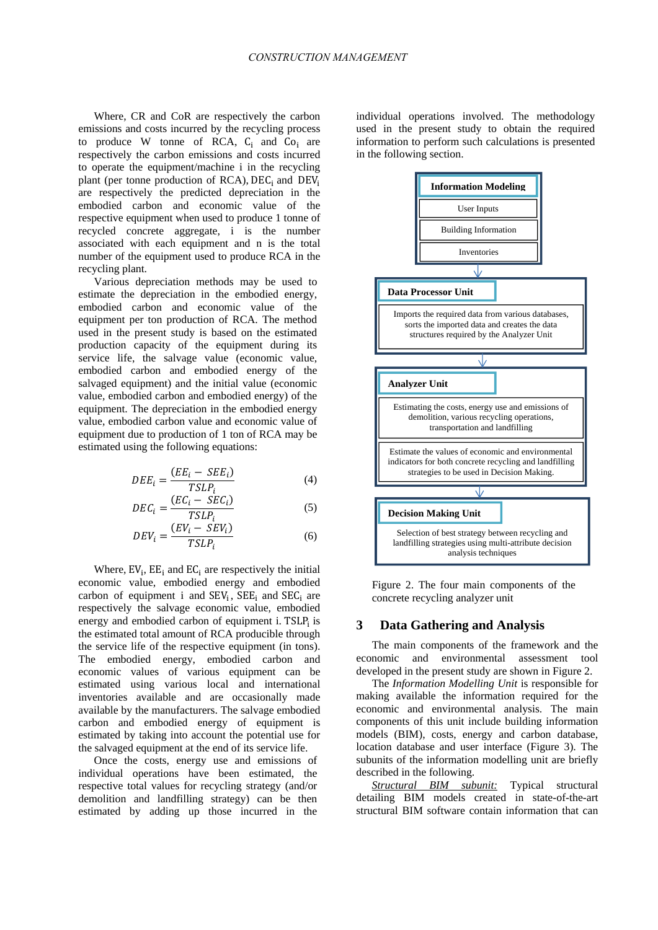Where, CR and CoR are respectively the carbon emissions and costs incurred by the recycling process to produce W tonne of RCA,  $C_i$  and  $C_o$  are respectively the carbon emissions and costs incurred to operate the equipment/machine i in the recycling plant (per tonne production of  $RCA$ ),  $DEC<sub>i</sub>$  and  $DEFV<sub>i</sub>$ are respectively the predicted depreciation in the embodied carbon and economic value of the respective equipment when used to produce 1 tonne of recycled concrete aggregate, i is the number associated with each equipment and n is the total number of the equipment used to produce RCA in the recycling plant.

Various depreciation methods may be used to estimate the depreciation in the embodied energy, embodied carbon and economic value of the equipment per ton production of RCA. The method used in the present study is based on the estimated production capacity of the equipment during its service life, the salvage value (economic value, embodied carbon and embodied energy of the salvaged equipment) and the initial value (economic value, embodied carbon and embodied energy) of the equipment. The depreciation in the embodied energy value, embodied carbon value and economic value of equipment due to production of 1 ton of RCA may be estimated using the following equations:

$$
DEE_i = \frac{(EE_i - SEE_i)}{TSLP_i} \tag{4}
$$

$$
DEC_i = \frac{(EC_i - SEC_i)}{TSLP_i}
$$
 (5)

$$
DEV_i = \frac{(EV_i - SEV_i)}{TSLP_i} \tag{6}
$$

Where,  $EV_i$ ,  $EE_i$  and  $EC_i$  are respectively the initial economic value, embodied energy and embodied carbon of equipment i and  $SEV_i$ ,  $SEE_i$  and  $SEC_i$  are respectively the salvage economic value, embodied energy and embodied carbon of equipment i. TSLP $<sub>i</sub>$  is</sub> the estimated total amount of RCA producible through the service life of the respective equipment (in tons). The embodied energy, embodied carbon and economic values of various equipment can be estimated using various local and international inventories available and are occasionally made available by the manufacturers. The salvage embodied carbon and embodied energy of equipment is estimated by taking into account the potential use for the salvaged equipment at the end of its service life.

Once the costs, energy use and emissions of individual operations have been estimated, the respective total values for recycling strategy (and/or demolition and landfilling strategy) can be then estimated by adding up those incurred in the

individual operations involved. The methodology used in the present study to obtain the required information to perform such calculations is presented in the following section.



Figure 2. The four main components of the concrete recycling analyzer unit

#### **3 Data Gathering and Analysis**

The main components of the framework and the economic and environmental assessment tool developed in the present study are shown in Figure 2.

The *Information Modelling Unit* is responsible for making available the information required for the economic and environmental analysis. The main components of this unit include building information models (BIM), costs, energy and carbon database, location database and user interface (Figure 3). The subunits of the information modelling unit are briefly described in the following.

*Structural BIM subunit:* Typical structural detailing BIM models created in state-of-the-art structural BIM software contain information that can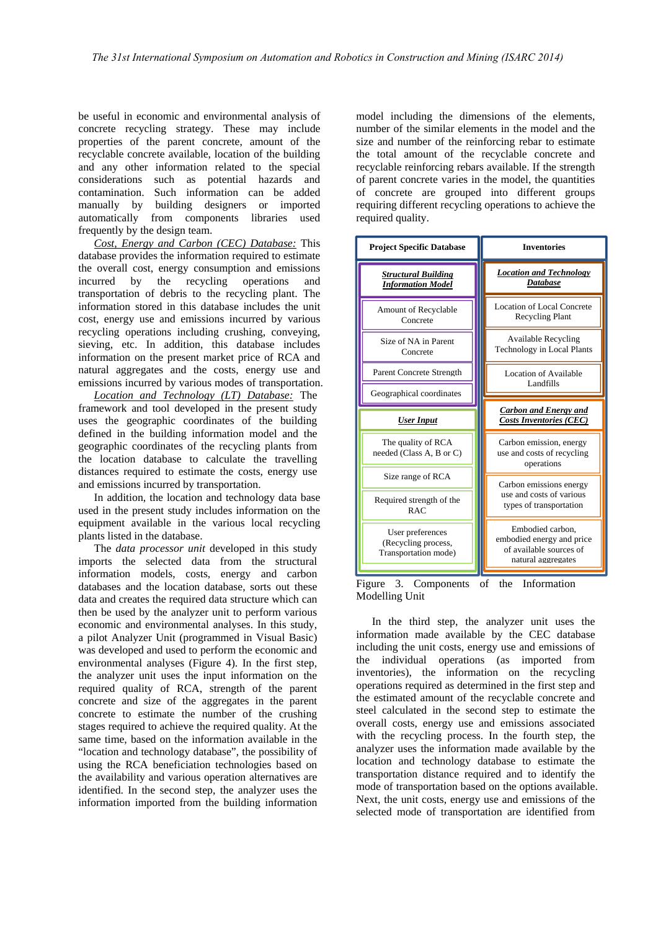be useful in economic and environmental analysis of concrete recycling strategy. These may include properties of the parent concrete, amount of the recyclable concrete available, location of the building and any other information related to the special considerations such as potential hazards and contamination. Such information can be added manually by building designers or imported automatically from components libraries used frequently by the design team.

*Cost, Energy and Carbon (CEC) Database:* This database provides the information required to estimate the overall cost, energy consumption and emissions incurred by the recycling operations and transportation of debris to the recycling plant. The information stored in this database includes the unit cost, energy use and emissions incurred by various recycling operations including crushing, conveying, sieving, etc. In addition, this database includes information on the present market price of RCA and natural aggregates and the costs, energy use and emissions incurred by various modes of transportation.

*Location and Technology (LT) Database:* The framework and tool developed in the present study uses the geographic coordinates of the building defined in the building information model and the geographic coordinates of the recycling plants from the location database to calculate the travelling distances required to estimate the costs, energy use and emissions incurred by transportation.

In addition, the location and technology data base used in the present study includes information on the equipment available in the various local recycling plants listed in the database.

The *data processor unit* developed in this study imports the selected data from the structural information models, costs, energy and carbon databases and the location database, sorts out these data and creates the required data structure which can then be used by the analyzer unit to perform various economic and environmental analyses. In this study, a pilot Analyzer Unit (programmed in Visual Basic) was developed and used to perform the economic and environmental analyses (Figure 4). In the first step, the analyzer unit uses the input information on the required quality of RCA, strength of the parent concrete and size of the aggregates in the parent concrete to estimate the number of the crushing stages required to achieve the required quality. At the same time, based on the information available in the "location and technology database", the possibility of using the RCA beneficiation technologies based on the availability and various operation alternatives are identified. In the second step, the analyzer uses the information imported from the building information

model including the dimensions of the elements, number of the similar elements in the model and the size and number of the reinforcing rebar to estimate the total amount of the recyclable concrete and recyclable reinforcing rebars available. If the strength of parent concrete varies in the model, the quantities of concrete are grouped into different groups requiring different recycling operations to achieve the required quality.

| <b>Project Specific Database</b>                       | <b>Inventories</b>                                                  |
|--------------------------------------------------------|---------------------------------------------------------------------|
| <b>Structural Building</b><br><b>Information Model</b> | <b>Location and Technology</b><br>Database                          |
| Amount of Recyclable<br>Concrete                       | Location of Local Concrete<br><b>Recycling Plant</b>                |
| Size of NA in Parent<br>Concrete                       | <b>Available Recycling</b><br><b>Technology in Local Plants</b>     |
| Parent Concrete Strength                               | Location of Available<br>Landfills                                  |
| Geographical coordinates                               |                                                                     |
|                                                        |                                                                     |
| <b>User Input</b>                                      | <b>Carbon and Energy and</b><br><b>Costs Inventories (CEC)</b>      |
| The quality of RCA<br>needed (Class A, B or C)         | Carbon emission, energy<br>use and costs of recycling<br>operations |
| Size range of RCA                                      | Carbon emissions energy                                             |
| Required strength of the<br>RAC                        | use and costs of various<br>types of transportation                 |

Figure 3. Components of the Information Modelling Unit

In the third step, the analyzer unit uses the information made available by the CEC database including the unit costs, energy use and emissions of the individual operations (as imported from inventories), the information on the recycling operations required as determined in the first step and the estimated amount of the recyclable concrete and steel calculated in the second step to estimate the overall costs, energy use and emissions associated with the recycling process. In the fourth step, the analyzer uses the information made available by the location and technology database to estimate the transportation distance required and to identify the mode of transportation based on the options available. Next, the unit costs, energy use and emissions of the selected mode of transportation are identified from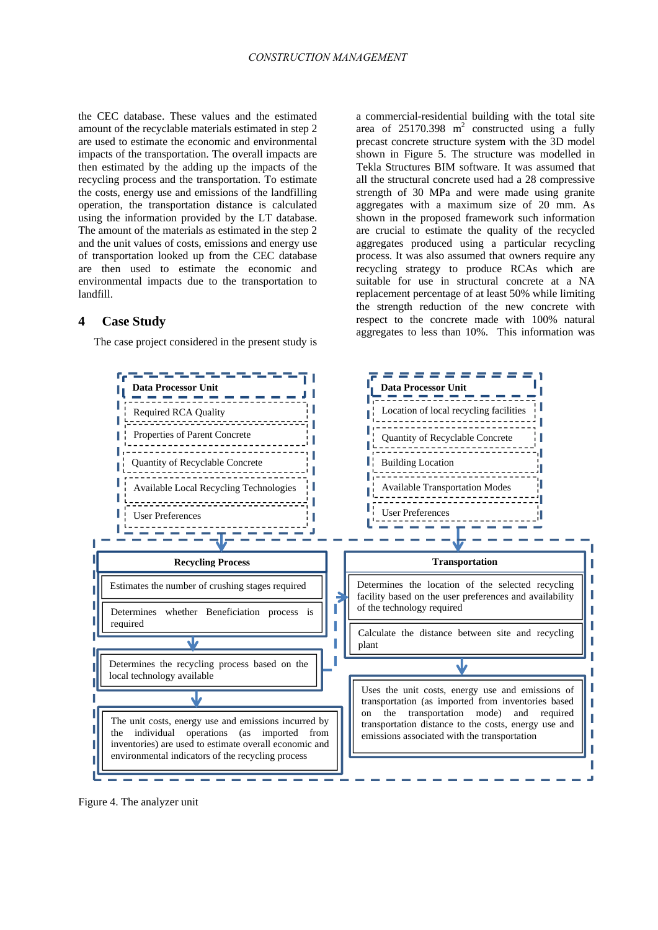the CEC database. These values and the estimated amount of the recyclable materials estimated in step 2 are used to estimate the economic and environmental impacts of the transportation. The overall impacts are then estimated by the adding up the impacts of the recycling process and the transportation. To estimate the costs, energy use and emissions of the landfilling operation, the transportation distance is calculated using the information provided by the LT database. The amount of the materials as estimated in the step 2 and the unit values of costs, emissions and energy use of transportation looked up from the CEC database are then used to estimate the economic and environmental impacts due to the transportation to landfill.

# **4 Case Study**

The case project considered in the present study is

a commercial-residential building with the total site area of  $25170.398$  m<sup>2</sup> constructed using a fully precast concrete structure system with the 3D model shown in Figure 5. The structure was modelled in Tekla Structures BIM software. It was assumed that all the structural concrete used had a 28 compressive strength of 30 MPa and were made using granite aggregates with a maximum size of 20 mm. As shown in the proposed framework such information are crucial to estimate the quality of the recycled aggregates produced using a particular recycling process. It was also assumed that owners require any recycling strategy to produce RCAs which are suitable for use in structural concrete at a NA replacement percentage of at least 50% while limiting the strength reduction of the new concrete with respect to the concrete made with 100% natural aggregates to less than 10%. This information was



Figure 4. The analyzer unit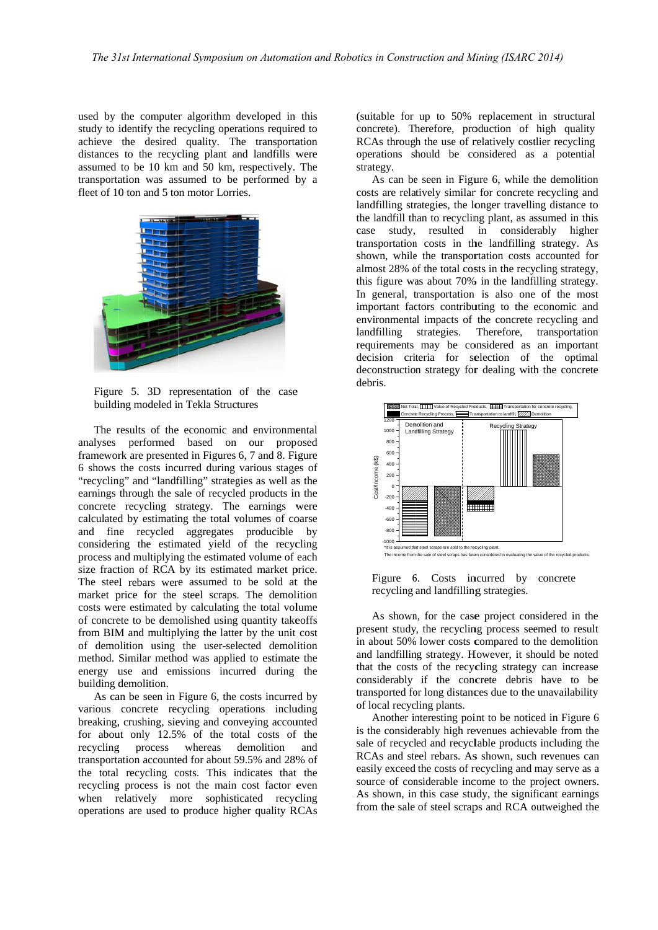used by the computer algorithm developed in this study to identify the recycling operations required to achieve the desired quality. The transportation distances to the recycling plant and landfills were assumed to be 10 km and 50 km, respectively. The transportation was assumed to be performed by a fleet of 10 ton and 5 ton motor Lorries.



Figure 5. 3D representation of the case building modeled in Tekla Structures

The results of the economic and environmental analyses performed based on our prop osed framework are presented in Figures 6, 7 and 8. Figure 6 shows the costs inc urred during various stage es of "recycling" and "landfilling" strategies as well as the earnings through the sale of recycled products in the concrete recycling strategy. The earnings were calculated by estimating the total volumes of coarse and fin ne recycled aggregates producible by considering the estimated yield of the recycling process and multiplying the estimated volume of each size fraction of RCA by its estimated market price. The steel rebars were assumed to be sold at the market price for the steel scraps. The demolition costs were estimated by calculating the total volume of concrete to be demolished using quantity takeoffs from BIM and multiplying the latter by the unit cost of demolition using the user-selected demolition method. Similar method was applied to estimate the energy use and emissions incurred during the building demolition.

As can be seen in Figure 6, the costs incurred by various concrete recycling operations including breaking, crushing, sieving and conveying accounted for about only 12.5% of the total costs of the recycling transportation accounted for about 59.5% and 28% of the total recycling costs. This indicates that the recycling process is not the main cost factor even when relatively more sophisticated recycling operations are used to produce higher quality RCAs process whereas demolition and

(suitable for up to 50% replacement in structural concrete). Therefore, production of high quality RCAs through the use of relatively costlier recycling operations should be considered as a potential strategy.

As can be seen in Figure 6, while the demolition costs are relatively similar for concrete recycling and landfilling strategies, the longer travelling distance to the landfill than to recycling plant, as assumed in thi case study, resulted in consider transportation costs in the landfilling strategy. As shown, while the transportation costs accounted for almost 28% of the total costs in the recycling strategy, this figure was about 70% in the landfilling strategy. In general, transportation is also one of the most important factors contributing to the economic and environmental impacts of the concrete recycling and landfilling strategies. requirements may be considered as an importan decision criteria for selection of the optimal deconstruction strategy for dealing with the concrete debris. Therefore, transportation rably higher lal<br>uglal<br>on do<br>to<br>to<br>is nd<br>on<br>.nt



Figure 6 6. Costs in ncurred by concrete recycling and landfilling strategies.

As shown, for the case project considered in the present study, the recycling process seemed to resul in about 50% lower costs compared to the demolition and landfilling strategy. However, it should be noted that the costs of the recycling strategy can increase considerably if the concrete debris have to be transported for long distances due to the unavailability of local recyc ling plants. ndee<br>eey<br>6

Another interesting point to be noticed in Figure is the considerably high revenues achievable from the sale of recycled and recyclable products including the RCAs and steel rebars. As shown, such revenues can RCAs and steel rebars. As shown, such revenues can easily exceed the costs of recycling and may serve as a source of considerable income to the project owners. As shown, in this case study, the significant earnings from the sale of steel scraps and RCA outweighed the